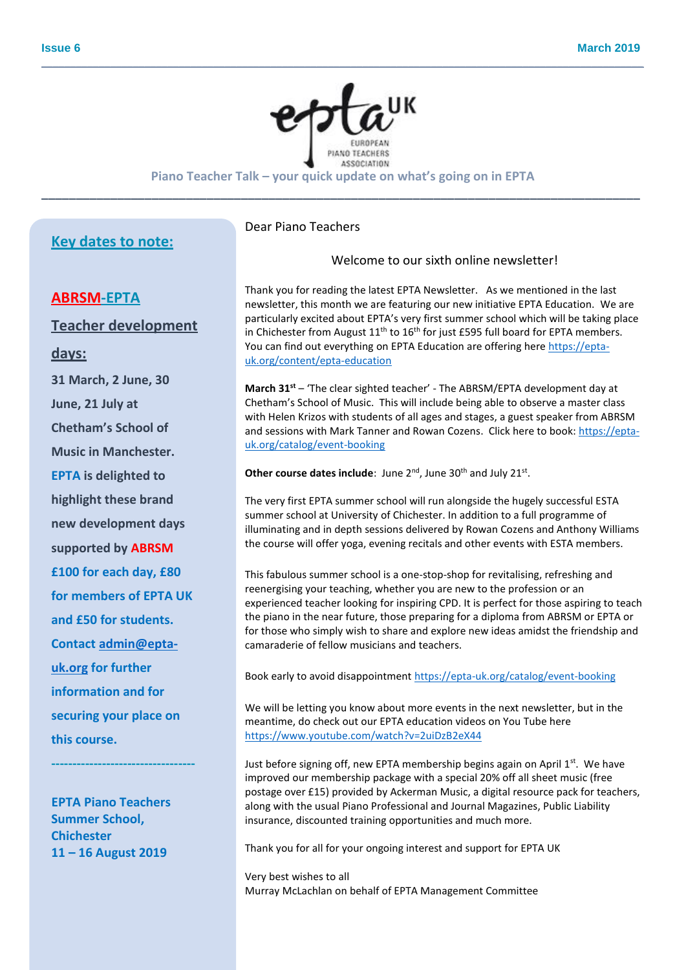

**\_\_\_\_\_\_\_\_\_\_\_\_\_\_\_\_\_\_\_\_\_\_\_\_\_\_\_\_\_\_\_\_\_\_\_\_\_\_\_\_\_\_\_\_\_\_\_\_\_\_\_\_\_\_\_\_\_\_\_\_\_\_\_\_\_\_\_\_\_\_\_\_\_\_\_\_\_\_\_\_\_\_\_\_\_\_\_\_\_\_\_\_\_\_\_\_\_\_\_\_\_\_\_\_\_**

**Piano Teacher Talk – your quick update on what's going on in EPTA \_\_\_\_\_\_\_\_\_\_\_\_\_\_\_\_\_\_\_\_\_\_\_\_\_\_\_\_\_\_\_\_\_\_\_\_\_\_\_\_\_\_\_\_\_\_\_\_\_\_\_\_\_\_\_\_\_\_\_\_\_\_\_\_\_\_\_\_\_\_\_\_\_\_\_\_\_\_\_\_\_\_\_\_\_\_\_**

# **Key dates to note:**

## **ABRSM-EPTA**

**Teacher development** 

**days:** 

**31 March, 2 June, 30 June, 21 July at Chetham's School of Music in Manchester. EPTA is delighted to highlight these brand new development days supported by ABRSM £100 for each day, £80 for members of EPTA UK and £50 for students. Contac[t admin@epta](mailto:admin@epta-uk.org)[uk.org](mailto:admin@epta-uk.org) for further information and for securing your place on this course.**

**EPTA Piano Teachers Summer School, Chichester 11 – 16 August 2019**

**----------------------------------**

## Dear Piano Teachers

## Welcome to our sixth online newsletter!

Thank you for reading the latest EPTA Newsletter. As we mentioned in the last newsletter, this month we are featuring our new initiative EPTA Education. We are particularly excited about EPTA's very first summer school which will be taking place in Chichester from August  $11<sup>th</sup>$  to  $16<sup>th</sup>$  for just £595 full board for EPTA members. You can find out everything on EPTA Education are offering here [https://epta](https://epta-uk.org/content/epta-education)[uk.org/content/epta-education](https://epta-uk.org/content/epta-education)

**March 31st** – 'The clear sighted teacher' - The ABRSM/EPTA development day at Chetham's School of Music. This will include being able to observe a master class with Helen Krizos with students of all ages and stages, a guest speaker from ABRSM and sessions with Mark Tanner and Rowan Cozens. Click here to book[: https://epta](https://epta-uk.org/catalog/event-booking)[uk.org/catalog/event-booking](https://epta-uk.org/catalog/event-booking)

Other course dates include: June 2<sup>nd</sup>, June 30<sup>th</sup> and July 21st.

The very first EPTA summer school will run alongside the hugely successful ESTA summer school at University of Chichester. In addition to a full programme of illuminating and in depth sessions delivered by Rowan Cozens and Anthony Williams the course will offer yoga, evening recitals and other events with ESTA members.

This fabulous summer school is a one-stop-shop for revitalising, refreshing and reenergising your teaching, whether you are new to the profession or an experienced teacher looking for inspiring CPD. It is perfect for those aspiring to teach the piano in the near future, those preparing for a diploma from ABRSM or EPTA or for those who simply wish to share and explore new ideas amidst the friendship and camaraderie of fellow musicians and teachers.

Book early to avoid disappointment <https://epta-uk.org/catalog/event-booking>

We will be letting you know about more events in the next newsletter, but in the meantime, do check out our EPTA education videos on You Tube here <https://www.youtube.com/watch?v=2uiDzB2eX44>

Just before signing off, new EPTA membership begins again on April  $1<sup>st</sup>$ . We have improved our membership package with a special 20% off all sheet music (free postage over £15) provided by Ackerman Music, a digital resource pack for teachers, along with the usual Piano Professional and Journal Magazines, Public Liability insurance, discounted training opportunities and much more.

Thank you for all for your ongoing interest and support for EPTA UK

Very best wishes to all Murray McLachlan on behalf of EPTA Management Committee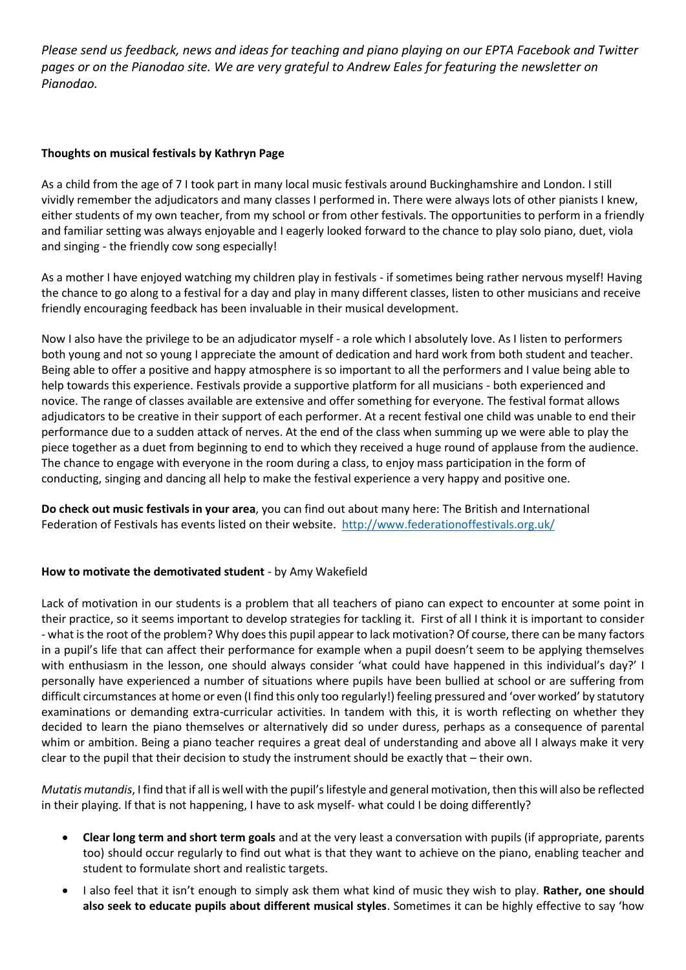*Please send us feedback, news and ideas for teaching and piano playing on our EPTA Facebook and Twitter pages or on the Pianodao site. We are very grateful to Andrew Eales for featuring the newsletter on Pianodao.* 

# **Thoughts on musical festivals by Kathryn Page**

As a child from the age of 7 I took part in many local music festivals around Buckinghamshire and London. I still vividly remember the adjudicators and many classes I performed in. There were always lots of other pianists I knew, either students of my own teacher, from my school or from other festivals. The opportunities to perform in a friendly and familiar setting was always enjoyable and I eagerly looked forward to the chance to play solo piano, duet, viola and singing - the friendly cow song especially!

As a mother I have enjoyed watching my children play in festivals - if sometimes being rather nervous myself! Having the chance to go along to a festival for a day and play in many different classes, listen to other musicians and receive friendly encouraging feedback has been invaluable in their musical development.

Now I also have the privilege to be an adjudicator myself - a role which I absolutely love. As I listen to performers both young and not so young I appreciate the amount of dedication and hard work from both student and teacher. Being able to offer a positive and happy atmosphere is so important to all the performers and I value being able to help towards this experience. Festivals provide a supportive platform for all musicians - both experienced and novice. The range of classes available are extensive and offer something for everyone. The festival format allows adjudicators to be creative in their support of each performer. At a recent festival one child was unable to end their performance due to a sudden attack of nerves. At the end of the class when summing up we were able to play the piece together as a duet from beginning to end to which they received a huge round of applause from the audience. The chance to engage with everyone in the room during a class, to enjoy mass participation in the form of conducting, singing and dancing all help to make the festival experience a very happy and positive one.

**Do check out music festivals in your area**, you can find out about many here: The British and International Federation of Festivals has events listed on their website. <http://www.federationoffestivals.org.uk/>

# **How to motivate the demotivated student** - by Amy Wakefield

Lack of motivation in our students is a problem that all teachers of piano can expect to encounter at some point in their practice, so it seems important to develop strategies for tackling it. First of all I think it is important to consider - what is the root of the problem? Why does this pupil appear to lack motivation? Of course, there can be many factors in a pupil's life that can affect their performance for example when a pupil doesn't seem to be applying themselves with enthusiasm in the lesson, one should always consider 'what could have happened in this individual's day?' I personally have experienced a number of situations where pupils have been bullied at school or are suffering from difficult circumstances at home or even (I find this only too regularly!) feeling pressured and 'over worked' by statutory examinations or demanding extra-curricular activities. In tandem with this, it is worth reflecting on whether they decided to learn the piano themselves or alternatively did so under duress, perhaps as a consequence of parental whim or ambition. Being a piano teacher requires a great deal of understanding and above all I always make it very clear to the pupil that their decision to study the instrument should be exactly that – their own.

*Mutatis mutandis*, I find that if all is well with the pupil's lifestyle and general motivation, then this will also be reflected in their playing. If that is not happening, I have to ask myself- what could I be doing differently?

- **Clear long term and short term goals** and at the very least a conversation with pupils (if appropriate, parents too) should occur regularly to find out what is that they want to achieve on the piano, enabling teacher and student to formulate short and realistic targets.
- I also feel that it isn't enough to simply ask them what kind of music they wish to play. **Rather, one should also seek to educate pupils about different musical styles**. Sometimes it can be highly effective to say 'how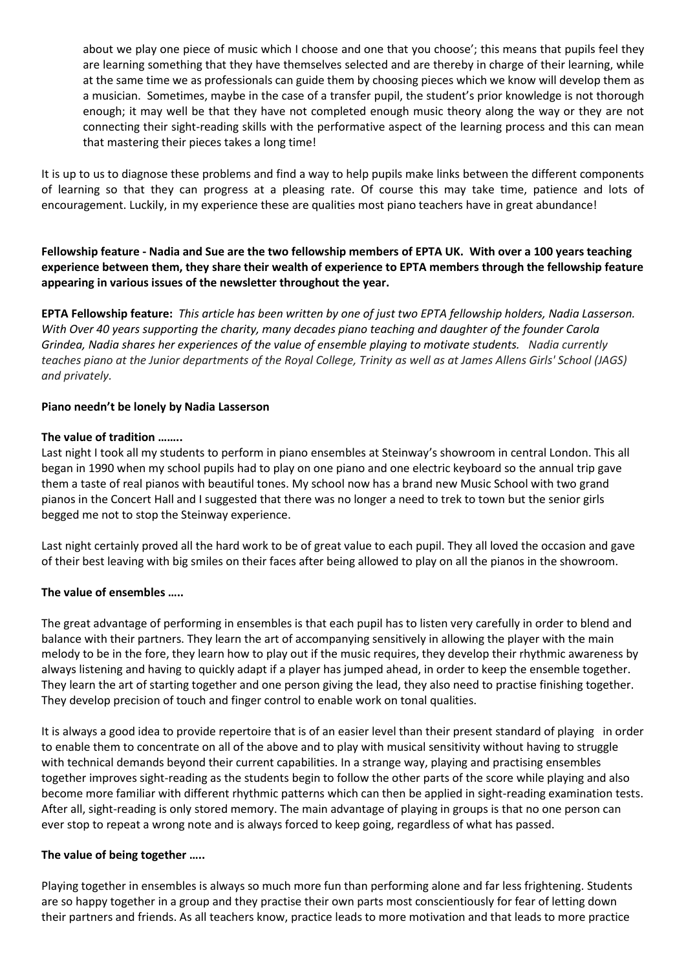about we play one piece of music which I choose and one that you choose'; this means that pupils feel they are learning something that they have themselves selected and are thereby in charge of their learning, while at the same time we as professionals can guide them by choosing pieces which we know will develop them as a musician. Sometimes, maybe in the case of a transfer pupil, the student's prior knowledge is not thorough enough; it may well be that they have not completed enough music theory along the way or they are not connecting their sight-reading skills with the performative aspect of the learning process and this can mean that mastering their pieces takes a long time!

It is up to us to diagnose these problems and find a way to help pupils make links between the different components of learning so that they can progress at a pleasing rate. Of course this may take time, patience and lots of encouragement. Luckily, in my experience these are qualities most piano teachers have in great abundance!

**Fellowship feature - Nadia and Sue are the two fellowship members of EPTA UK. With over a 100 years teaching experience between them, they share their wealth of experience to EPTA members through the fellowship feature appearing in various issues of the newsletter throughout the year.**

**EPTA Fellowship feature:** *This article has been written by one of just two EPTA fellowship holders, Nadia Lasserson. With Over 40 years supporting the charity, many decades piano teaching and daughter of the founder Carola Grindea, Nadia shares her experiences of the value of ensemble playing to motivate students. Nadia currently teaches piano at the Junior departments of the Royal College, Trinity as well as at James Allens Girls' School (JAGS) and privately.*

## **Piano needn't be lonely by Nadia Lasserson**

## **The value of tradition ……..**

Last night I took all my students to perform in piano ensembles at Steinway's showroom in central London. This all began in 1990 when my school pupils had to play on one piano and one electric keyboard so the annual trip gave them a taste of real pianos with beautiful tones. My school now has a brand new Music School with two grand pianos in the Concert Hall and I suggested that there was no longer a need to trek to town but the senior girls begged me not to stop the Steinway experience.

Last night certainly proved all the hard work to be of great value to each pupil. They all loved the occasion and gave of their best leaving with big smiles on their faces after being allowed to play on all the pianos in the showroom.

## **The value of ensembles …..**

The great advantage of performing in ensembles is that each pupil has to listen very carefully in order to blend and balance with their partners. They learn the art of accompanying sensitively in allowing the player with the main melody to be in the fore, they learn how to play out if the music requires, they develop their rhythmic awareness by always listening and having to quickly adapt if a player has jumped ahead, in order to keep the ensemble together. They learn the art of starting together and one person giving the lead, they also need to practise finishing together. They develop precision of touch and finger control to enable work on tonal qualities.

It is always a good idea to provide repertoire that is of an easier level than their present standard of playing in order to enable them to concentrate on all of the above and to play with musical sensitivity without having to struggle with technical demands beyond their current capabilities. In a strange way, playing and practising ensembles together improves sight-reading as the students begin to follow the other parts of the score while playing and also become more familiar with different rhythmic patterns which can then be applied in sight-reading examination tests. After all, sight-reading is only stored memory. The main advantage of playing in groups is that no one person can ever stop to repeat a wrong note and is always forced to keep going, regardless of what has passed.

## **The value of being together …..**

Playing together in ensembles is always so much more fun than performing alone and far less frightening. Students are so happy together in a group and they practise their own parts most conscientiously for fear of letting down their partners and friends. As all teachers know, practice leads to more motivation and that leads to more practice